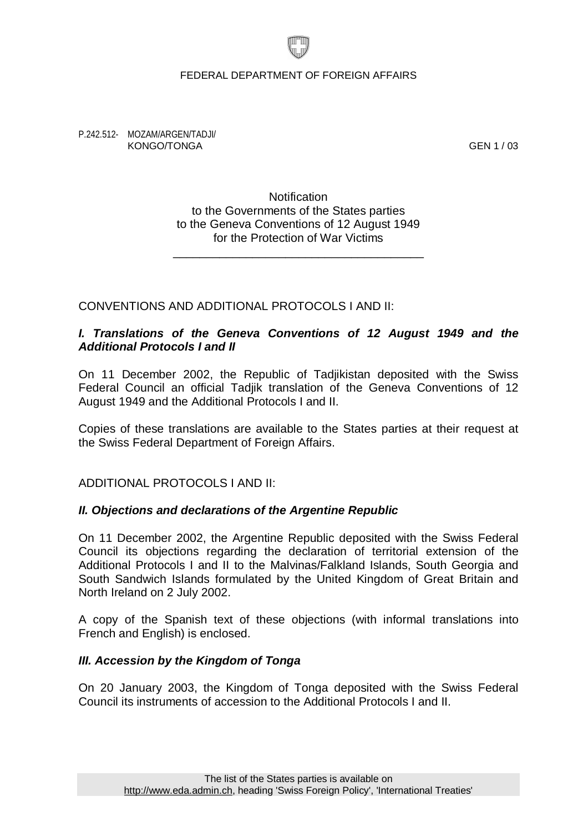#### FEDERAL DEPARTMENT OF FOREIGN AFFAIRS

P.242.512- MOZAM/ARGEN/TADJI/ KONGO/TONGA GEN 1 / 03

**Notification** to the Governments of the States parties to the Geneva Conventions of 12 August 1949 for the Protection of War Victims

\_\_\_\_\_\_\_\_\_\_\_\_\_\_\_\_\_\_\_\_\_\_\_\_\_\_\_\_\_\_\_\_\_\_\_\_\_\_

## CONVENTIONS AND ADDITIONAL PROTOCOLS I AND II:

## *I. Translations of the Geneva Conventions of 12 August 1949 and the Additional Protocols I and II*

On 11 December 2002, the Republic of Tadjikistan deposited with the Swiss Federal Council an official Tadjik translation of the Geneva Conventions of 12 August 1949 and the Additional Protocols I and II.

Copies of these translations are available to the States parties at their request at the Swiss Federal Department of Foreign Affairs.

ADDITIONAL PROTOCOLS I AND II:

#### *II. Objections and declarations of the Argentine Republic*

On 11 December 2002, the Argentine Republic deposited with the Swiss Federal Council its objections regarding the declaration of territorial extension of the Additional Protocols I and II to the Malvinas/Falkland Islands, South Georgia and South Sandwich Islands formulated by the United Kingdom of Great Britain and North Ireland on 2 July 2002.

A copy of the Spanish text of these objections (with informal translations into French and English) is enclosed.

#### *III. Accession by the Kingdom of Tonga*

On 20 January 2003, the Kingdom of Tonga deposited with the Swiss Federal Council its instruments of accession to the Additional Protocols I and II.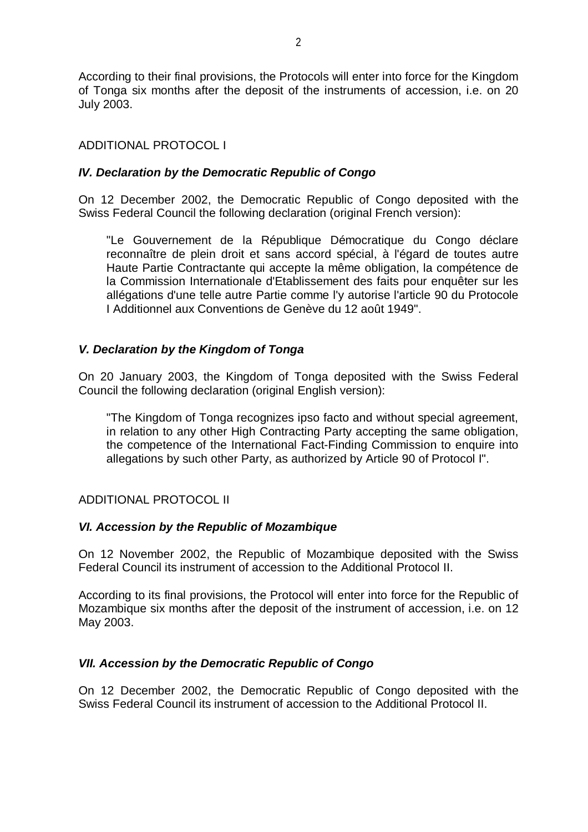According to their final provisions, the Protocols will enter into force for the Kingdom of Tonga six months after the deposit of the instruments of accession, i.e. on 20 July 2003.

# ADDITIONAL PROTOCOL I

## *IV. Declaration by the Democratic Republic of Congo*

On 12 December 2002, the Democratic Republic of Congo deposited with the Swiss Federal Council the following declaration (original French version):

"Le Gouvernement de la République Démocratique du Congo déclare reconnaître de plein droit et sans accord spécial, à l'égard de toutes autre Haute Partie Contractante qui accepte la même obligation, la compétence de la Commission Internationale d'Etablissement des faits pour enquêter sur les allégations d'une telle autre Partie comme l'y autorise l'article 90 du Protocole I Additionnel aux Conventions de Genève du 12 août 1949".

## *V. Declaration by the Kingdom of Tonga*

On 20 January 2003, the Kingdom of Tonga deposited with the Swiss Federal Council the following declaration (original English version):

"The Kingdom of Tonga recognizes ipso facto and without special agreement, in relation to any other High Contracting Party accepting the same obligation, the competence of the International Fact-Finding Commission to enquire into allegations by such other Party, as authorized by Article 90 of Protocol I".

## ADDITIONAL PROTOCOL II

## *VI. Accession by the Republic of Mozambique*

On 12 November 2002, the Republic of Mozambique deposited with the Swiss Federal Council its instrument of accession to the Additional Protocol II.

According to its final provisions, the Protocol will enter into force for the Republic of Mozambique six months after the deposit of the instrument of accession, i.e. on 12 May 2003.

## *VII. Accession by the Democratic Republic of Congo*

On 12 December 2002, the Democratic Republic of Congo deposited with the Swiss Federal Council its instrument of accession to the Additional Protocol II.